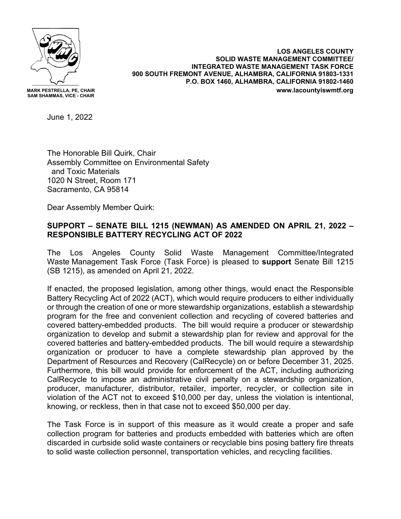

**MARK PESTRELLA, PE, CHAIR SAM SHAMMAS, VICE - CHAIR**

**LOS ANGELES COUNTY SOLID WASTE MANAGEMENT COMMITTEE/ INTEGRATED WASTE MANAGEMENT TASK FORCE 900 SOUTH FREMONT AVENUE, ALHAMBRA, CALIFORNIA 91803-1331 P.O. BOX 1460, ALHAMBRA, CALIFORNIA 91802-1460 www.lacountyiswmtf.org**

June 1, 2022

The Honorable Bill Quirk, Chair Assembly Committee on Environmental Safety and Toxic Materials 1020 N Street, Room 171 Sacramento, CA 95814

Dear Assembly Member Quirk:

## **SUPPORT – SENATE BILL 1215 (NEWMAN) AS AMENDED ON APRIL 21, 2022 – RESPONSIBLE BATTERY RECYCLING ACT OF 2022**

The Los Angeles County Solid Waste Management Committee/Integrated Waste Management Task Force (Task Force) is pleased to **support** Senate Bill 1215 (SB 1215), as amended on April 21, 2022.

If enacted, the proposed legislation, among other things, would enact the Responsible Battery Recycling Act of 2022 (ACT), which would require producers to either individually or through the creation of one or more stewardship organizations, establish a stewardship program for the free and convenient collection and recycling of covered batteries and covered battery-embedded products. The bill would require a producer or stewardship organization to develop and submit a stewardship plan for review and approval for the covered batteries and battery-embedded products. The bill would require a stewardship organization or producer to have a complete stewardship plan approved by the Department of Resources and Recovery (CalRecycle) on or before December 31, 2025. Furthermore, this bill would provide for enforcement of the ACT, including authorizing CalRecycle to impose an administrative civil penalty on a stewardship organization, producer, manufacturer, distributor, retailer, importer, recycler, or collection site in violation of the ACT not to exceed \$10,000 per day, unless the violation is intentional, knowing, or reckless, then in that case not to exceed \$50,000 per day.

The Task Force is in support of this measure as it would create a proper and safe collection program for batteries and products embedded with batteries which are often discarded in curbside solid waste containers or recyclable bins posing battery fire threats to solid waste collection personnel, transportation vehicles, and recycling facilities.